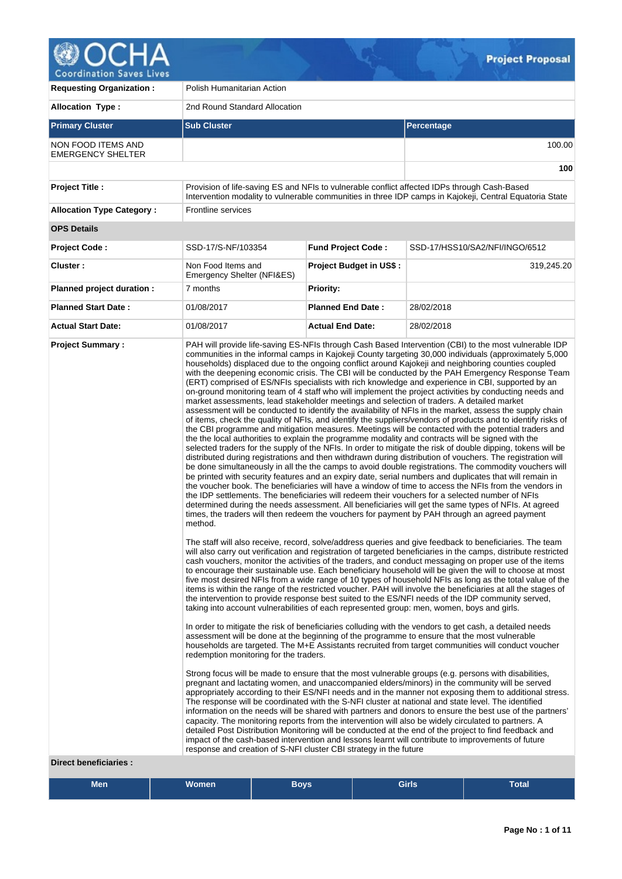

**Requesting Organization :** Polish Humanitarian Action **Allocation Type :** 2nd Round Standard Allocation **Primary Cluster Sub Cluster Sub Cluster** Sub Cluster Sub Cluster Sub Cluster Sub Cluster Sub Cluster Sub Cluster NON FOOD ITEMS AND EMERGENCY SHELTER 100.00 **100 Project Title :** Provision of life-saving ES and NFIs to vulnerable conflict affected IDPs through Cash-Based Intervention modality to vulnerable communities in three IDP camps in Kajokeji, Central Equatoria State **Allocation Type Category :** Frontline services **OPS Details Project Code :** SSD-17/S-NF/103354 **Fund Project Code :** SSD-17/HSS10/SA2/NFI/INGO/6512 **Cluster :** Non Food Items and Emergency Shelter (NFI&ES) **Project Budget in US\$ :** 319,245.20 **Planned project duration :** 7 months **Priority: Planned Start Date :** 01/08/2017 **Planned End Date :** 28/02/2018 **Actual Start Date:** 01/08/2017 **Actual End Date:** 28/02/2018 **Project Summary :** PAH will provide life-saving ES-NFIs through Cash Based Intervention (CBI) to the most vulnerable IDP communities in the informal camps in Kajokeji County targeting 30,000 individuals (approximately 5,000 households) displaced due to the ongoing conflict around Kajokeji and neighboring counties coupled with the deepening economic crisis. The CBI will be conducted by the PAH Emergency Response Team (ERT) comprised of ES/NFIs specialists with rich knowledge and experience in CBI, supported by an on-ground monitoring team of 4 staff who will implement the project activities by conducting needs and market assessments, lead stakeholder meetings and selection of traders. A detailed market assessment will be conducted to identify the availability of NFIs in the market, assess the supply chain of items, check the quality of NFIs, and identify the suppliers/vendors of products and to identify risks of the CBI programme and mitigation measures. Meetings will be contacted with the potential traders and the the local authorities to explain the programme modality and contracts will be signed with the selected traders for the supply of the NFIs. In order to mitigate the risk of double dipping, tokens will be distributed during registrations and then withdrawn during distribution of vouchers. The registration will be done simultaneously in all the the camps to avoid double registrations. The commodity vouchers will be printed with security features and an expiry date, serial numbers and duplicates that will remain in the voucher book. The beneficiaries will have a window of time to access the NFIs from the vendors in the IDP settlements. The beneficiaries will redeem their vouchers for a selected number of NFIs determined during the needs assessment. All beneficiaries will get the same types of NFIs. At agreed times, the traders will then redeem the vouchers for payment by PAH through an agreed payment method. The staff will also receive, record, solve/address queries and give feedback to beneficiaries. The team will also carry out verification and registration of targeted beneficiaries in the camps, distribute restricted cash vouchers, monitor the activities of the traders, and conduct messaging on proper use of the items to encourage their sustainable use. Each beneficiary household will be given the will to choose at most five most desired NFIs from a wide range of 10 types of household NFIs as long as the total value of the items is within the range of the restricted voucher. PAH will involve the beneficiaries at all the stages of the intervention to provide response best suited to the ES/NFI needs of the IDP community served, taking into account vulnerabilities of each represented group: men, women, boys and girls. In order to mitigate the risk of beneficiaries colluding with the vendors to get cash, a detailed needs assessment will be done at the beginning of the programme to ensure that the most vulnerable households are targeted. The M+E Assistants recruited from target communities will conduct voucher redemption monitoring for the traders. Strong focus will be made to ensure that the most vulnerable groups (e.g. persons with disabilities, pregnant and lactating women, and unaccompanied elders/minors) in the community will be served appropriately according to their ES/NFI needs and in the manner not exposing them to additional stress. The response will be coordinated with the S-NFI cluster at national and state level. The identified information on the needs will be shared with partners and donors to ensure the best use of the partners' capacity. The monitoring reports from the intervention will also be widely circulated to partners. A detailed Post Distribution Monitoring will be conducted at the end of the project to find feedback and impact of the cash-based intervention and lessons learnt will contribute to improvements of future response and creation of S-NFI cluster CBI strategy in the future

### **Direct beneficiaries :**

| <b>Men</b> | .<br><b>Women</b> | <b>Boys</b> | <b>Girls</b> | -<br>⊺otal |  |
|------------|-------------------|-------------|--------------|------------|--|
|------------|-------------------|-------------|--------------|------------|--|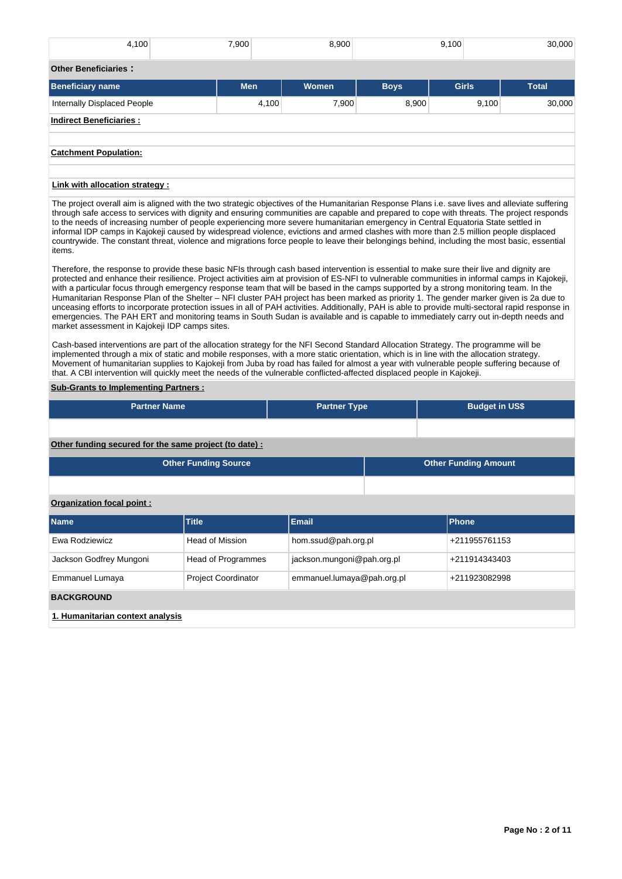| 4,100                           | 7,900      | 8,900 |             | 9,100        | 30,000       |
|---------------------------------|------------|-------|-------------|--------------|--------------|
| <b>Other Beneficiaries:</b>     |            |       |             |              |              |
| <b>Beneficiary name</b>         | <b>Men</b> | Women | <b>Boys</b> | <b>Girls</b> | <b>Total</b> |
| Internally Displaced People     | 4,100      | 7,900 | 8,900       | 9,100        | 30,000       |
| <b>Indirect Beneficiaries:</b>  |            |       |             |              |              |
|                                 |            |       |             |              |              |
| <b>Catchment Population:</b>    |            |       |             |              |              |
|                                 |            |       |             |              |              |
| Link with allocation strategy : |            |       |             |              |              |

The project overall aim is aligned with the two strategic objectives of the Humanitarian Response Plans i.e. save lives and alleviate suffering through safe access to services with dignity and ensuring communities are capable and prepared to cope with threats. The project responds to the needs of increasing number of people experiencing more severe humanitarian emergency in Central Equatoria State settled in informal IDP camps in Kajokeji caused by widespread violence, evictions and armed clashes with more than 2.5 million people displaced countrywide. The constant threat, violence and migrations force people to leave their belongings behind, including the most basic, essential items.

Therefore, the response to provide these basic NFIs through cash based intervention is essential to make sure their live and dignity are protected and enhance their resilience. Project activities aim at provision of ES-NFI to vulnerable communities in informal camps in Kajokeji, with a particular focus through emergency response team that will be based in the camps supported by a strong monitoring team. In the Humanitarian Response Plan of the Shelter – NFI cluster PAH project has been marked as priority 1. The gender marker given is 2a due to unceasing efforts to incorporate protection issues in all of PAH activities. Additionally, PAH is able to provide multi-sectoral rapid response in emergencies. The PAH ERT and monitoring teams in South Sudan is available and is capable to immediately carry out in-depth needs and market assessment in Kajokeji IDP camps sites.

Cash-based interventions are part of the allocation strategy for the NFI Second Standard Allocation Strategy. The programme will be implemented through a mix of static and mobile responses, with a more static orientation, which is in line with the allocation strategy. Movement of humanitarian supplies to Kajokeji from Juba by road has failed for almost a year with vulnerable people suffering because of that. A CBI intervention will quickly meet the needs of the vulnerable conflicted-affected displaced people in Kajokeji.

### **Sub-Grants to Implementing Partners :**

| <b>Partner Name</b>                                    |                             | <b>Partner Type</b> | <b>Budget in US\$</b>       |
|--------------------------------------------------------|-----------------------------|---------------------|-----------------------------|
|                                                        |                             |                     |                             |
| Other funding secured for the same project (to date) : |                             |                     |                             |
|                                                        | <b>Other Funding Source</b> |                     | <b>Other Funding Amount</b> |
|                                                        |                             |                     |                             |
| Organization focal point:                              |                             |                     |                             |
| <b>Name</b>                                            | <b>Title</b>                | Email               | <b>Phone</b>                |

| <b>Name</b>                      | <b>Title</b>               | <b>Email</b>               | <b>Phone</b>  |
|----------------------------------|----------------------------|----------------------------|---------------|
| Ewa Rodziewicz                   | Head of Mission            | hom.ssud@pah.org.pl        | +211955761153 |
| Jackson Godfrey Mungoni          | Head of Programmes         | jackson.mungoni@pah.org.pl | +211914343403 |
| Emmanuel Lumaya                  | <b>Project Coordinator</b> | emmanuel.lumaya@pah.org.pl | +211923082998 |
| <b>BACKGROUND</b>                |                            |                            |               |
| 1. Humanitarian context analysis |                            |                            |               |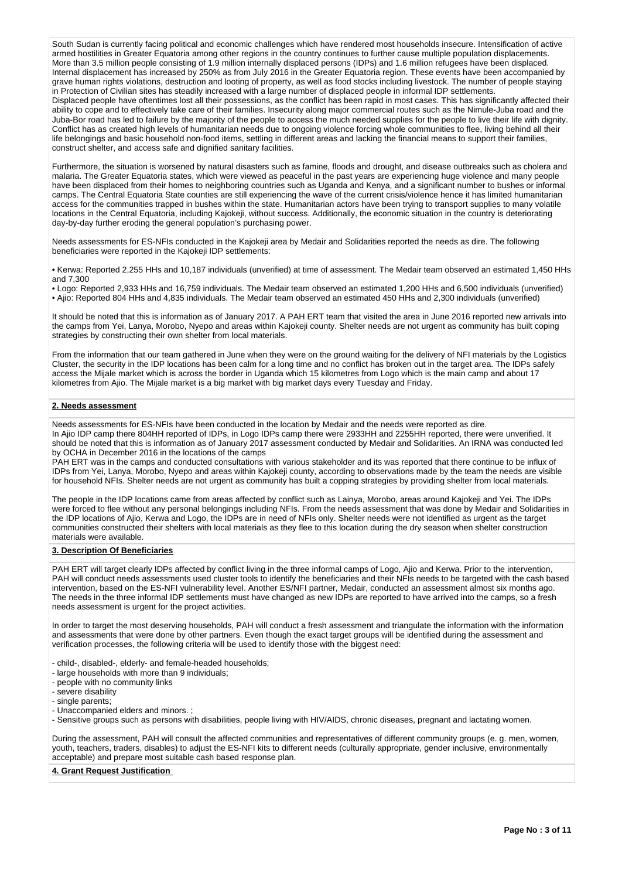South Sudan is currently facing political and economic challenges which have rendered most households insecure. Intensification of active armed hostilities in Greater Equatoria among other regions in the country continues to further cause multiple population displacements. More than 3.5 million people consisting of 1.9 million internally displaced persons (IDPs) and 1.6 million refugees have been displaced. Internal displacement has increased by 250% as from July 2016 in the Greater Equatoria region. These events have been accompanied by grave human rights violations, destruction and looting of property, as well as food stocks including livestock. The number of people staying in Protection of Civilian sites has steadily increased with a large number of displaced people in informal IDP settlements. Displaced people have oftentimes lost all their possessions, as the conflict has been rapid in most cases. This has significantly affected their ability to cope and to effectively take care of their families. Insecurity along major commercial routes such as the Nimule-Juba road and the Juba-Bor road has led to failure by the majority of the people to access the much needed supplies for the people to live their life with dignity. Conflict has as created high levels of humanitarian needs due to ongoing violence forcing whole communities to flee, living behind all their life belongings and basic household non-food items, settling in different areas and lacking the financial means to support their families, construct shelter, and access safe and dignified sanitary facilities.

Furthermore, the situation is worsened by natural disasters such as famine, floods and drought, and disease outbreaks such as cholera and malaria. The Greater Equatoria states, which were viewed as peaceful in the past years are experiencing huge violence and many people have been displaced from their homes to neighboring countries such as Uganda and Kenya, and a significant number to bushes or informal camps. The Central Equatoria State counties are still experiencing the wave of the current crisis/violence hence it has limited humanitarian access for the communities trapped in bushes within the state. Humanitarian actors have been trying to transport supplies to many volatile locations in the Central Equatoria, including Kajokeji, without success. Additionally, the economic situation in the country is deteriorating day-by-day further eroding the general population's purchasing power.

Needs assessments for ES-NFIs conducted in the Kajokeji area by Medair and Solidarities reported the needs as dire. The following beneficiaries were reported in the Kajokeji IDP settlements:

• Kerwa: Reported 2,255 HHs and 10,187 individuals (unverified) at time of assessment. The Medair team observed an estimated 1,450 HHs and 7,300

• Logo: Reported 2,933 HHs and 16,759 individuals. The Medair team observed an estimated 1,200 HHs and 6,500 individuals (unverified) • Ajio: Reported 804 HHs and 4,835 individuals. The Medair team observed an estimated 450 HHs and 2,300 individuals (unverified)

It should be noted that this is information as of January 2017. A PAH ERT team that visited the area in June 2016 reported new arrivals into the camps from Yei, Lanya, Morobo, Nyepo and areas within Kajokeji county. Shelter needs are not urgent as community has built coping strategies by constructing their own shelter from local materials.

From the information that our team gathered in June when they were on the ground waiting for the delivery of NFI materials by the Logistics Cluster, the security in the IDP locations has been calm for a long time and no conflict has broken out in the target area. The IDPs safely access the Mijale market which is across the border in Uganda which 15 kilometres from Logo which is the main camp and about 17 kilometres from Ajio. The Mijale market is a big market with big market days every Tuesday and Friday.

## **2. Needs assessment**

Needs assessments for ES-NFIs have been conducted in the location by Medair and the needs were reported as dire. In Ajio IDP camp there 804HH reported of IDPs, in Logo IDPs camp there were 2933HH and 2255HH reported, there were unverified. It should be noted that this is information as of January 2017 assessment conducted by Medair and Solidarities. An IRNA was conducted led by OCHA in December 2016 in the locations of the camps

PAH ERT was in the camps and conducted consultations with various stakeholder and its was reported that there continue to be influx of IDPs from Yei, Lanya, Morobo, Nyepo and areas within Kajokeji county, according to observations made by the team the needs are visible for household NFIs. Shelter needs are not urgent as community has built a copping strategies by providing shelter from local materials.

The people in the IDP locations came from areas affected by conflict such as Lainya, Morobo, areas around Kajokeji and Yei. The IDPs were forced to flee without any personal belongings including NFIs. From the needs assessment that was done by Medair and Solidarities in the IDP locations of Ajio, Kerwa and Logo, the IDPs are in need of NFIs only. Shelter needs were not identified as urgent as the target communities constructed their shelters with local materials as they flee to this location during the dry season when shelter construction materials were available.

#### **3. Description Of Beneficiaries**

PAH ERT will target clearly IDPs affected by conflict living in the three informal camps of Logo, Ajio and Kerwa. Prior to the intervention, PAH will conduct needs assessments used cluster tools to identify the beneficiaries and their NFIs needs to be targeted with the cash based intervention, based on the ES-NFI vulnerability level. Another ES/NFI partner, Medair, conducted an assessment almost six months ago. The needs in the three informal IDP settlements must have changed as new IDPs are reported to have arrived into the camps, so a fresh needs assessment is urgent for the project activities.

In order to target the most deserving households, PAH will conduct a fresh assessment and triangulate the information with the information and assessments that were done by other partners. Even though the exact target groups will be identified during the assessment and verification processes, the following criteria will be used to identify those with the biggest need:

- child-, disabled-, elderly- and female-headed households;

- large households with more than 9 individuals;
- people with no community links
- severe disability
- single parents;
- Unaccompanied elders and minors. ;
- Sensitive groups such as persons with disabilities, people living with HIV/AIDS, chronic diseases, pregnant and lactating women.

During the assessment, PAH will consult the affected communities and representatives of different community groups (e. g. men, women, youth, teachers, traders, disables) to adjust the ES-NFI kits to different needs (culturally appropriate, gender inclusive, environmentally acceptable) and prepare most suitable cash based response plan.

### **4. Grant Request Justification**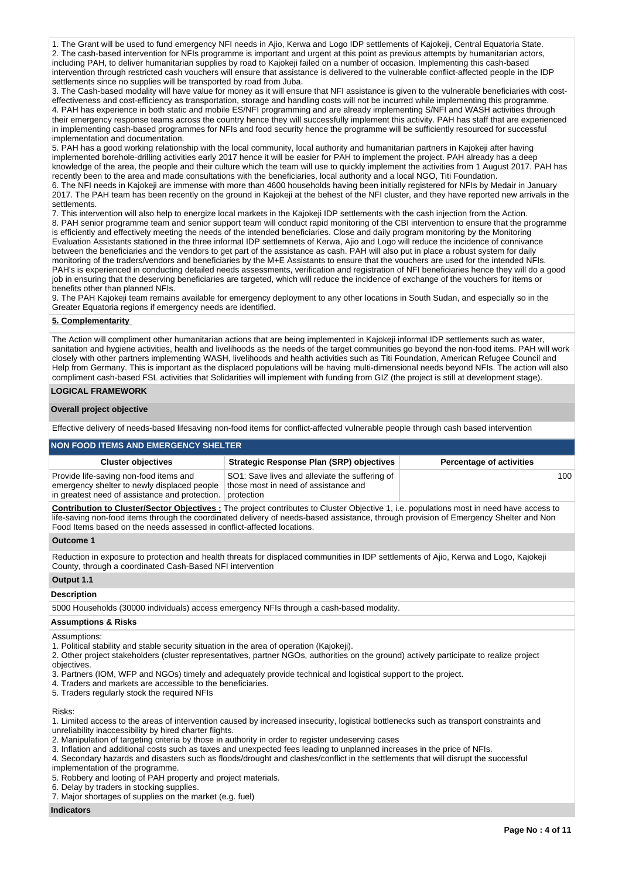1. The Grant will be used to fund emergency NFI needs in Ajio, Kerwa and Logo IDP settlements of Kajokeji, Central Equatoria State. 2. The cash-based intervention for NFIs programme is important and urgent at this point as previous attempts by humanitarian actors, including PAH, to deliver humanitarian supplies by road to Kajokeji failed on a number of occasion. Implementing this cash-based intervention through restricted cash vouchers will ensure that assistance is delivered to the vulnerable conflict-affected people in the IDP settlements since no supplies will be transported by road from Juba.

3. The Cash-based modality will have value for money as it will ensure that NFI assistance is given to the vulnerable beneficiaries with costeffectiveness and cost-efficiency as transportation, storage and handling costs will not be incurred while implementing this programme. 4. PAH has experience in both static and mobile ES/NFI programming and are already implementing S/NFI and WASH activities through their emergency response teams across the country hence they will successfully implement this activity. PAH has staff that are experienced in implementing cash-based programmes for NFIs and food security hence the programme will be sufficiently resourced for successful implementation and documentation.

5. PAH has a good working relationship with the local community, local authority and humanitarian partners in Kajokeji after having implemented borehole-drilling activities early 2017 hence it will be easier for PAH to implement the project. PAH already has a deep knowledge of the area, the people and their culture which the team will use to quickly implement the activities from 1 August 2017. PAH has recently been to the area and made consultations with the beneficiaries, local authority and a local NGO, Titi Foundation. 6. The NFI needs in Kajokeji are immense with more than 4600 households having been initially registered for NFIs by Medair in January 2017. The PAH team has been recently on the ground in Kajokeji at the behest of the NFI cluster, and they have reported new arrivals in the settlements.

7. This intervention will also help to energize local markets in the Kajokeji IDP settlements with the cash injection from the Action. 8. PAH senior programme team and senior support team will conduct rapid monitoring of the CBI intervention to ensure that the programme is efficiently and effectively meeting the needs of the intended beneficiaries. Close and daily program monitoring by the Monitoring Evaluation Assistants stationed in the three informal IDP settlemnets of Kerwa, Ajio and Logo will reduce the incidence of connivance between the beneficiaries and the vendors to get part of the assistance as cash. PAH will also put in place a robust system for daily monitoring of the traders/vendors and beneficiaries by the M+E Assistants to ensure that the vouchers are used for the intended NFIs. PAH's is experienced in conducting detailed needs assessments, verification and registration of NFI beneficiaries hence they will do a good job in ensuring that the deserving beneficiaries are targeted, which will reduce the incidence of exchange of the vouchers for items or benefits other than planned NFIs.

9. The PAH Kajokeji team remains available for emergency deployment to any other locations in South Sudan, and especially so in the Greater Equatoria regions if emergency needs are identified.

#### **5. Complementarity**

The Action will compliment other humanitarian actions that are being implemented in Kajokeji informal IDP settlements such as water, sanitation and hygiene activities, health and livelihoods as the needs of the target communities go beyond the non-food items. PAH will work closely with other partners implementing WASH, livelihoods and health activities such as Titi Foundation, American Refugee Council and Help from Germany. This is important as the displaced populations will be having multi-dimensional needs beyond NFIs. The action will also compliment cash-based FSL activities that Solidarities will implement with funding from GIZ (the project is still at development stage).

# **LOGICAL FRAMEWORK**

### **Overall project objective**

Effective delivery of needs-based lifesaving non-food items for conflict-affected vulnerable people through cash based intervention

#### **NON FOOD ITEMS AND EMERGENCY SHELTER Cluster objectives Strategic Response Plan (SRP) objectives Percentage of activities** Provide life-saving non-food items and emergency shelter to newly displaced people in greatest need of assistance and protection. protection SO1: Save lives and alleviate the suffering of those most in need of assistance and 100

**Contribution to Cluster/Sector Objectives :** The project contributes to Cluster Objective 1, i.e. populations most in need have access to life-saving non-food items through the coordinated delivery of needs-based assistance, through provision of Emergency Shelter and Non Food Items based on the needs assessed in conflict-affected locations.

#### **Outcome 1**

Reduction in exposure to protection and health threats for displaced communities in IDP settlements of Ajio, Kerwa and Logo, Kajokeji County, through a coordinated Cash-Based NFI intervention

#### **Output 1.1**

#### **Description**

5000 Households (30000 individuals) access emergency NFIs through a cash-based modality.

### **Assumptions & Risks**

Assumptions:

1. Political stability and stable security situation in the area of operation (Kajokeji).

2. Other project stakeholders (cluster representatives, partner NGOs, authorities on the ground) actively participate to realize project objectives.

3. Partners (IOM, WFP and NGOs) timely and adequately provide technical and logistical support to the project.

- 4. Traders and markets are accessible to the beneficiaries.
- 5. Traders regularly stock the required NFIs

Risks:

1. Limited access to the areas of intervention caused by increased insecurity, logistical bottlenecks such as transport constraints and

unreliability inaccessibility by hired charter flights.

2. Manipulation of targeting criteria by those in authority in order to register undeserving cases

3. Inflation and additional costs such as taxes and unexpected fees leading to unplanned increases in the price of NFIs.

4. Secondary hazards and disasters such as floods/drought and clashes/conflict in the settlements that will disrupt the successful

implementation of the programme.

5. Robbery and looting of PAH property and project materials.

6. Delay by traders in stocking supplies.

7. Major shortages of supplies on the market (e.g. fuel)

**Indicators**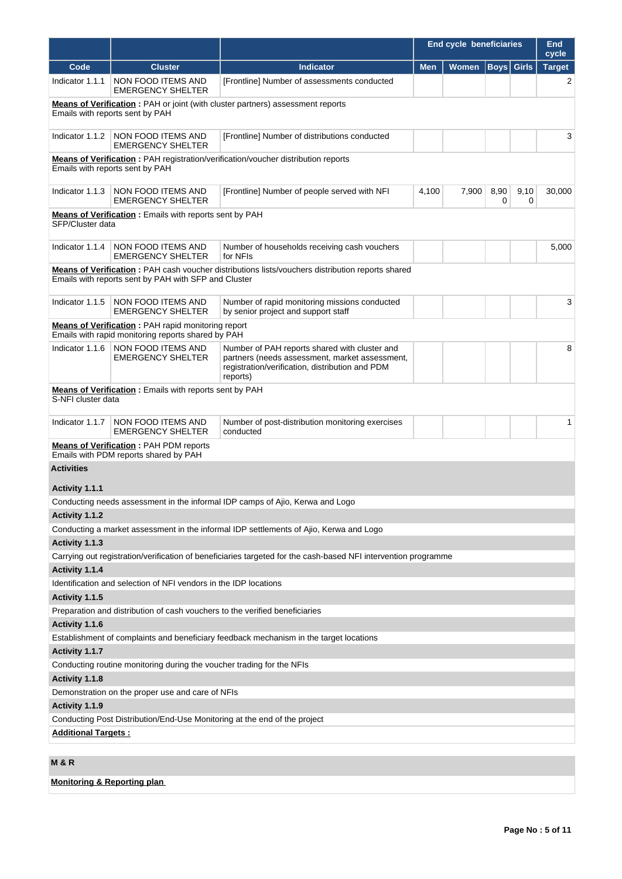|                     |                                                                                                                  |                                                                                                                                                                |            | <b>End cycle beneficiaries</b> |                   |           |               |  |  |
|---------------------|------------------------------------------------------------------------------------------------------------------|----------------------------------------------------------------------------------------------------------------------------------------------------------------|------------|--------------------------------|-------------------|-----------|---------------|--|--|
| Code                | <b>Cluster</b>                                                                                                   | Indicator                                                                                                                                                      | <b>Men</b> | <b>Women</b>                   | <b>Boys</b> Girls |           | <b>Target</b> |  |  |
| Indicator 1.1.1     | NON FOOD ITEMS AND<br><b>EMERGENCY SHELTER</b>                                                                   | [Frontline] Number of assessments conducted                                                                                                                    |            |                                |                   |           | 2             |  |  |
|                     | Emails with reports sent by PAH                                                                                  | <b>Means of Verification</b> : PAH or joint (with cluster partners) assessment reports                                                                         |            |                                |                   |           |               |  |  |
| Indicator 1.1.2     | NON FOOD ITEMS AND<br><b>EMERGENCY SHELTER</b>                                                                   | [Frontline] Number of distributions conducted                                                                                                                  |            |                                |                   |           | 3             |  |  |
|                     | Emails with reports sent by PAH                                                                                  | <b>Means of Verification:</b> PAH registration/verification/voucher distribution reports                                                                       |            |                                |                   |           |               |  |  |
| Indicator 1.1.3     | NON FOOD ITEMS AND<br><b>EMERGENCY SHELTER</b>                                                                   | [Frontline] Number of people served with NFI                                                                                                                   | 4,100      | 7,900                          | 8,90<br>0         | 9,10<br>0 | 30,000        |  |  |
| SFP/Cluster data    | <b>Means of Verification:</b> Emails with reports sent by PAH                                                    |                                                                                                                                                                |            |                                |                   |           |               |  |  |
| Indicator 1.1.4     | <b>NON FOOD ITEMS AND</b><br><b>EMERGENCY SHELTER</b>                                                            | Number of households receiving cash vouchers<br>for NFIs                                                                                                       |            |                                |                   |           | 5,000         |  |  |
|                     | Emails with reports sent by PAH with SFP and Cluster                                                             | Means of Verification: PAH cash voucher distributions lists/vouchers distribution reports shared                                                               |            |                                |                   |           |               |  |  |
| Indicator 1.1.5     | NON FOOD ITEMS AND<br><b>EMERGENCY SHELTER</b>                                                                   | Number of rapid monitoring missions conducted<br>by senior project and support staff                                                                           |            |                                |                   |           | 3             |  |  |
|                     | <b>Means of Verification</b> : PAH rapid monitoring report<br>Emails with rapid monitoring reports shared by PAH |                                                                                                                                                                |            |                                |                   |           |               |  |  |
| Indicator 1.1.6     | NON FOOD ITEMS AND<br><b>EMERGENCY SHELTER</b>                                                                   | Number of PAH reports shared with cluster and<br>partners (needs assessment, market assessment,<br>registration/verification, distribution and PDM<br>reports) |            |                                |                   |           | 8             |  |  |
| S-NFI cluster data  | Means of Verification : Emails with reports sent by PAH                                                          |                                                                                                                                                                |            |                                |                   |           |               |  |  |
| Indicator 1.1.7     | NON FOOD ITEMS AND<br><b>EMERGENCY SHELTER</b>                                                                   | Number of post-distribution monitoring exercises<br>conducted                                                                                                  |            |                                |                   |           | 1             |  |  |
|                     | <b>Means of Verification: PAH PDM reports</b><br>Emails with PDM reports shared by PAH                           |                                                                                                                                                                |            |                                |                   |           |               |  |  |
| <b>Activities</b>   |                                                                                                                  |                                                                                                                                                                |            |                                |                   |           |               |  |  |
| Activity 1.1.1      |                                                                                                                  |                                                                                                                                                                |            |                                |                   |           |               |  |  |
|                     |                                                                                                                  | Conducting needs assessment in the informal IDP camps of Ajio, Kerwa and Logo                                                                                  |            |                                |                   |           |               |  |  |
| Activity 1.1.2      |                                                                                                                  |                                                                                                                                                                |            |                                |                   |           |               |  |  |
|                     |                                                                                                                  | Conducting a market assessment in the informal IDP settlements of Ajio, Kerwa and Logo                                                                         |            |                                |                   |           |               |  |  |
| Activity 1.1.3      |                                                                                                                  |                                                                                                                                                                |            |                                |                   |           |               |  |  |
|                     |                                                                                                                  | Carrying out registration/verification of beneficiaries targeted for the cash-based NFI intervention programme                                                 |            |                                |                   |           |               |  |  |
| Activity 1.1.4      |                                                                                                                  |                                                                                                                                                                |            |                                |                   |           |               |  |  |
| Activity 1.1.5      | Identification and selection of NFI vendors in the IDP locations                                                 |                                                                                                                                                                |            |                                |                   |           |               |  |  |
|                     | Preparation and distribution of cash vouchers to the verified beneficiaries                                      |                                                                                                                                                                |            |                                |                   |           |               |  |  |
| Activity 1.1.6      |                                                                                                                  |                                                                                                                                                                |            |                                |                   |           |               |  |  |
|                     |                                                                                                                  | Establishment of complaints and beneficiary feedback mechanism in the target locations                                                                         |            |                                |                   |           |               |  |  |
| Activity 1.1.7      |                                                                                                                  |                                                                                                                                                                |            |                                |                   |           |               |  |  |
|                     | Conducting routine monitoring during the voucher trading for the NFIs                                            |                                                                                                                                                                |            |                                |                   |           |               |  |  |
| Activity 1.1.8      |                                                                                                                  |                                                                                                                                                                |            |                                |                   |           |               |  |  |
|                     | Demonstration on the proper use and care of NFIs                                                                 |                                                                                                                                                                |            |                                |                   |           |               |  |  |
| Activity 1.1.9      |                                                                                                                  |                                                                                                                                                                |            |                                |                   |           |               |  |  |
|                     | Conducting Post Distribution/End-Use Monitoring at the end of the project                                        |                                                                                                                                                                |            |                                |                   |           |               |  |  |
| Additional Targets: |                                                                                                                  |                                                                                                                                                                |            |                                |                   |           |               |  |  |
| <b>M &amp; R</b>    |                                                                                                                  |                                                                                                                                                                |            |                                |                   |           |               |  |  |

**Monitoring & Reporting plan**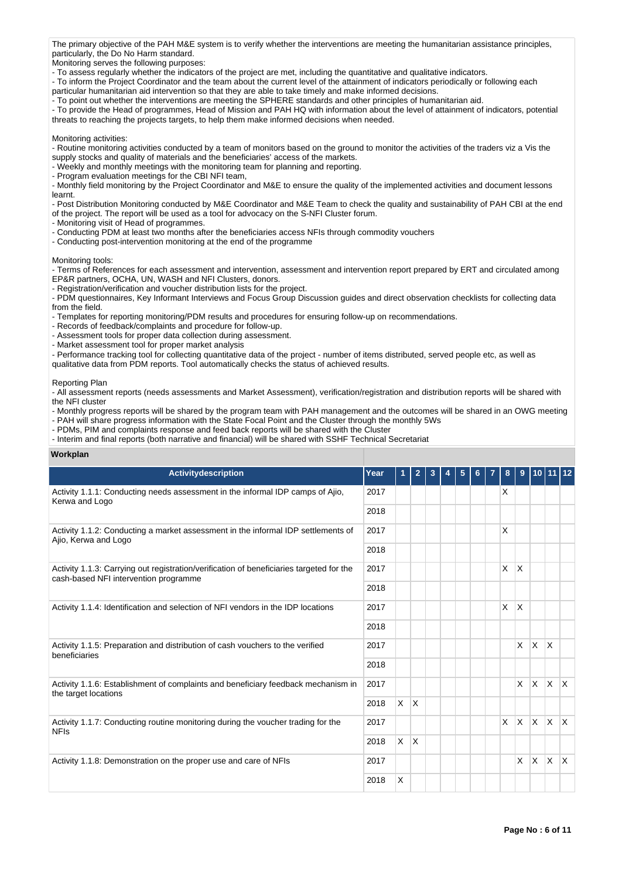The primary objective of the PAH M&E system is to verify whether the interventions are meeting the humanitarian assistance principles, particularly, the Do No Harm standard.

Monitoring serves the following purposes:

- To assess regularly whether the indicators of the project are met, including the quantitative and qualitative indicators.

- To inform the Project Coordinator and the team about the current level of the attainment of indicators periodically or following each particular humanitarian aid intervention so that they are able to take timely and make informed decisions.

- To point out whether the interventions are meeting the SPHERE standards and other principles of humanitarian aid.

- To provide the Head of programmes, Head of Mission and PAH HQ with information about the level of attainment of indicators, potential threats to reaching the projects targets, to help them make informed decisions when needed.

Monitoring activities:

- Routine monitoring activities conducted by a team of monitors based on the ground to monitor the activities of the traders viz a Vis the supply stocks and quality of materials and the beneficiaries' access of the markets.

- Weekly and monthly meetings with the monitoring team for planning and reporting.

- Program evaluation meetings for the CBI NFI team,

- Monthly field monitoring by the Project Coordinator and M&E to ensure the quality of the implemented activities and document lessons learnt.

- Post Distribution Monitoring conducted by M&E Coordinator and M&E Team to check the quality and sustainability of PAH CBI at the end of the project. The report will be used as a tool for advocacy on the S-NFI Cluster forum.

- Monitoring visit of Head of programmes.

- Conducting PDM at least two months after the beneficiaries access NFIs through commodity vouchers

- Conducting post-intervention monitoring at the end of the programme

Monitoring tools:

- Terms of References for each assessment and intervention, assessment and intervention report prepared by ERT and circulated among EP&R partners, OCHA, UN, WASH and NFI Clusters, donors.

- Registration/verification and voucher distribution lists for the project.

- PDM questionnaires, Key Informant Interviews and Focus Group Discussion guides and direct observation checklists for collecting data from the field.

- Templates for reporting monitoring/PDM results and procedures for ensuring follow-up on recommendations.

- Records of feedback/complaints and procedure for follow-up.

- Assessment tools for proper data collection during assessment.

- Market assessment tool for proper market analysis

- Performance tracking tool for collecting quantitative data of the project - number of items distributed, served people etc, as well as qualitative data from PDM reports. Tool automatically checks the status of achieved results.

Reporting Plan

- All assessment reports (needs assessments and Market Assessment), verification/registration and distribution reports will be shared with the NFI cluster

- Monthly progress reports will be shared by the program team with PAH management and the outcomes will be shared in an OWG meeting

- PAH will share progress information with the State Focal Point and the Cluster through the monthly 5Ws

- PDMs, PIM and complaints response and feed back reports will be shared with the Cluster

- Interim and final reports (both narrative and financial) will be shared with SSHF Technical Secretariat

### **Workplan**

| <b>Activitydescription</b>                                                                                                        | Year |          |              |  |  |  |  | 8        | 9        |              |              |              |
|-----------------------------------------------------------------------------------------------------------------------------------|------|----------|--------------|--|--|--|--|----------|----------|--------------|--------------|--------------|
| Activity 1.1.1: Conducting needs assessment in the informal IDP camps of Ajio,<br>Kerwa and Logo                                  | 2017 |          |              |  |  |  |  | X        |          |              |              |              |
|                                                                                                                                   | 2018 |          |              |  |  |  |  |          |          |              |              |              |
| Activity 1.1.2: Conducting a market assessment in the informal IDP settlements of<br>Ajio, Kerwa and Logo                         | 2017 |          |              |  |  |  |  | X        |          |              |              |              |
|                                                                                                                                   | 2018 |          |              |  |  |  |  |          |          |              |              |              |
| Activity 1.1.3: Carrying out registration/verification of beneficiaries targeted for the<br>cash-based NFI intervention programme | 2017 |          |              |  |  |  |  | X        | $\times$ |              |              |              |
|                                                                                                                                   | 2018 |          |              |  |  |  |  |          |          |              |              |              |
| Activity 1.1.4: Identification and selection of NFI vendors in the IDP locations                                                  | 2017 |          |              |  |  |  |  | X        | $\times$ |              |              |              |
|                                                                                                                                   | 2018 |          |              |  |  |  |  |          |          |              |              |              |
| Activity 1.1.5: Preparation and distribution of cash vouchers to the verified<br>beneficiaries                                    | 2017 |          |              |  |  |  |  |          | $\times$ | $\mathsf{x}$ | $\mathsf{X}$ |              |
|                                                                                                                                   | 2018 |          |              |  |  |  |  |          |          |              |              |              |
| Activity 1.1.6: Establishment of complaints and beneficiary feedback mechanism in<br>the target locations                         | 2017 |          |              |  |  |  |  |          | $\times$ | $\mathsf{X}$ | $\mathsf{X}$ | $\mathsf{X}$ |
|                                                                                                                                   | 2018 | $\times$ | $\mathsf{X}$ |  |  |  |  |          |          |              |              |              |
| Activity 1.1.7: Conducting routine monitoring during the voucher trading for the<br><b>NFIs</b>                                   |      |          |              |  |  |  |  | $\times$ | <b>X</b> | Ιx.          | $\mathsf{X}$ | $\mathsf{X}$ |
|                                                                                                                                   |      | $\times$ | $\mathsf{X}$ |  |  |  |  |          |          |              |              |              |
| Activity 1.1.8: Demonstration on the proper use and care of NFIs                                                                  | 2017 |          |              |  |  |  |  |          | $\times$ | <b>X</b>     | $\mathsf{X}$ | $\mathsf{X}$ |
|                                                                                                                                   | 2018 | X        |              |  |  |  |  |          |          |              |              |              |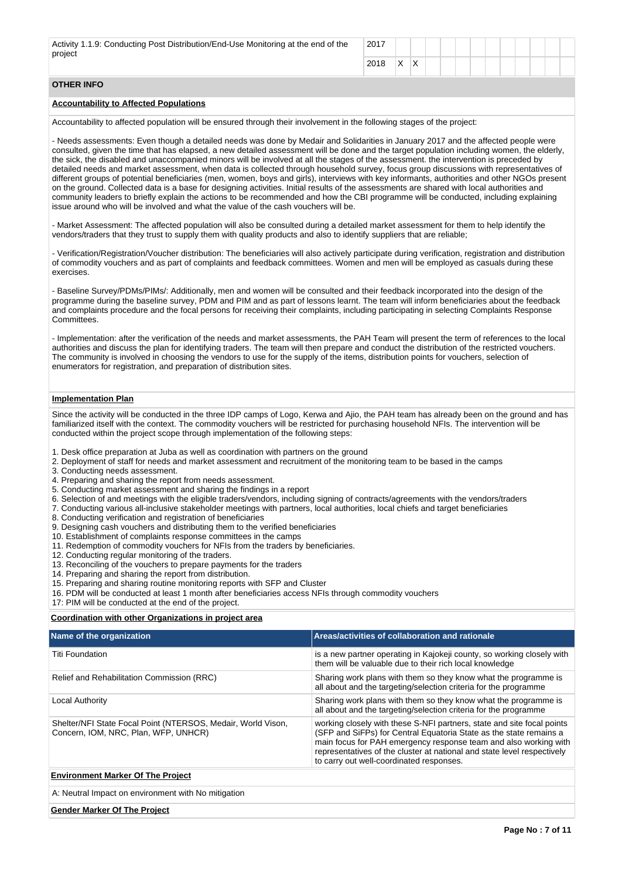| Activity 1.1.9: Conducting Post Distribution/End-Use Monitoring at the end of the<br>project | 2017 |                   |                   |  |  |  |  |  |
|----------------------------------------------------------------------------------------------|------|-------------------|-------------------|--|--|--|--|--|
|                                                                                              | 2018 | $\checkmark$<br>∧ | $\checkmark$<br>∧ |  |  |  |  |  |
| ATIIPDIBIPA                                                                                  |      |                   |                   |  |  |  |  |  |

#### **OTHER INFO**

#### **Accountability to Affected Populations**

Accountability to affected population will be ensured through their involvement in the following stages of the project:

- Needs assessments: Even though a detailed needs was done by Medair and Solidarities in January 2017 and the affected people were consulted, given the time that has elapsed, a new detailed assessment will be done and the target population including women, the elderly, the sick, the disabled and unaccompanied minors will be involved at all the stages of the assessment. the intervention is preceded by detailed needs and market assessment, when data is collected through household survey, focus group discussions with representatives of different groups of potential beneficiaries (men, women, boys and girls), interviews with key informants, authorities and other NGOs present on the ground. Collected data is a base for designing activities. Initial results of the assessments are shared with local authorities and community leaders to briefly explain the actions to be recommended and how the CBI programme will be conducted, including explaining issue around who will be involved and what the value of the cash vouchers will be.

- Market Assessment: The affected population will also be consulted during a detailed market assessment for them to help identify the vendors/traders that they trust to supply them with quality products and also to identify suppliers that are reliable;

- Verification/Registration/Voucher distribution: The beneficiaries will also actively participate during verification, registration and distribution of commodity vouchers and as part of complaints and feedback committees. Women and men will be employed as casuals during these exercises.

- Baseline Survey/PDMs/PIMs/: Additionally, men and women will be consulted and their feedback incorporated into the design of the programme during the baseline survey, PDM and PIM and as part of lessons learnt. The team will inform beneficiaries about the feedback and complaints procedure and the focal persons for receiving their complaints, including participating in selecting Complaints Response Committees.

- Implementation: after the verification of the needs and market assessments, the PAH Team will present the term of references to the local authorities and discuss the plan for identifying traders. The team will then prepare and conduct the distribution of the restricted vouchers. The community is involved in choosing the vendors to use for the supply of the items, distribution points for vouchers, selection of enumerators for registration, and preparation of distribution sites.

### **Implementation Plan**

Since the activity will be conducted in the three IDP camps of Logo, Kerwa and Ajio, the PAH team has already been on the ground and has familiarized itself with the context. The commodity vouchers will be restricted for purchasing household NFIs. The intervention will be conducted within the project scope through implementation of the following steps:

- 1. Desk office preparation at Juba as well as coordination with partners on the ground
- 2. Deployment of staff for needs and market assessment and recruitment of the monitoring team to be based in the camps
- 3. Conducting needs assessment.
- 4. Preparing and sharing the report from needs assessment.
- 5. Conducting market assessment and sharing the findings in a report
- 6. Selection of and meetings with the eligible traders/vendors, including signing of contracts/agreements with the vendors/traders
- 7. Conducting various all-inclusive stakeholder meetings with partners, local authorities, local chiefs and target beneficiaries
- 8. Conducting verification and registration of beneficiaries
- 9. Designing cash vouchers and distributing them to the verified beneficiaries 10. Establishment of complaints response committees in the camps
- 11. Redemption of commodity vouchers for NFIs from the traders by beneficiaries.
- 12. Conducting regular monitoring of the traders.
- 13. Reconciling of the vouchers to prepare payments for the traders
- 14. Preparing and sharing the report from distribution.
- 15. Preparing and sharing routine monitoring reports with SFP and Cluster
- 16. PDM will be conducted at least 1 month after beneficiaries access NFIs through commodity vouchers
- 17: PIM will be conducted at the end of the project.

#### **Coordination with other Organizations in project area**

| Name of the organization                                                                             | Areas/activities of collaboration and rationale                                                                                                                                                                                                                                                                                         |
|------------------------------------------------------------------------------------------------------|-----------------------------------------------------------------------------------------------------------------------------------------------------------------------------------------------------------------------------------------------------------------------------------------------------------------------------------------|
| <b>Titi Foundation</b>                                                                               | is a new partner operating in Kajokeji county, so working closely with<br>them will be valuable due to their rich local knowledge                                                                                                                                                                                                       |
| Relief and Rehabilitation Commission (RRC)                                                           | Sharing work plans with them so they know what the programme is<br>all about and the targeting/selection criteria for the programme                                                                                                                                                                                                     |
| Local Authority                                                                                      | Sharing work plans with them so they know what the programme is<br>all about and the targeting/selection criteria for the programme                                                                                                                                                                                                     |
| Shelter/NFI State Focal Point (NTERSOS, Medair, World Vison,<br>Concern, IOM, NRC, Plan, WFP, UNHCR) | working closely with these S-NFI partners, state and site focal points<br>(SFP and SiFPs) for Central Equatoria State as the state remains a<br>main focus for PAH emergency response team and also working with<br>representatives of the cluster at national and state level respectively<br>to carry out well-coordinated responses. |
| <b>Environment Marker Of The Project</b>                                                             |                                                                                                                                                                                                                                                                                                                                         |
| A: Neutral Impact on environment with No mitigation                                                  |                                                                                                                                                                                                                                                                                                                                         |

#### **Gender Marker Of The Project**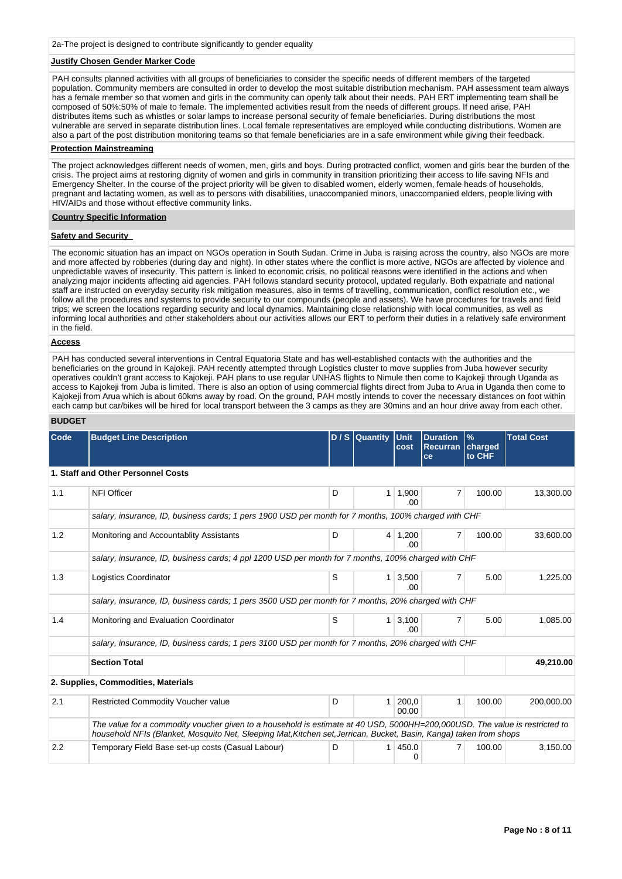### **Justify Chosen Gender Marker Code**

PAH consults planned activities with all groups of beneficiaries to consider the specific needs of different members of the targeted population. Community members are consulted in order to develop the most suitable distribution mechanism. PAH assessment team always has a female member so that women and girls in the community can openly talk about their needs. PAH ERT implementing team shall be composed of 50%:50% of male to female. The implemented activities result from the needs of different groups. If need arise, PAH distributes items such as whistles or solar lamps to increase personal security of female beneficiaries. During distributions the most vulnerable are served in separate distribution lines. Local female representatives are employed while conducting distributions. Women are also a part of the post distribution monitoring teams so that female beneficiaries are in a safe environment while giving their feedback.

#### **Protection Mainstreaming**

The project acknowledges different needs of women, men, girls and boys. During protracted conflict, women and girls bear the burden of the crisis. The project aims at restoring dignity of women and girls in community in transition prioritizing their access to life saving NFIs and Emergency Shelter. In the course of the project priority will be given to disabled women, elderly women, female heads of households, pregnant and lactating women, as well as to persons with disabilities, unaccompanied minors, unaccompanied elders, people living with HIV/AIDs and those without effective community links.

#### **Country Specific Information**

## **Safety and Security**

The economic situation has an impact on NGOs operation in South Sudan. Crime in Juba is raising across the country, also NGOs are more and more affected by robberies (during day and night). In other states where the conflict is more active, NGOs are affected by violence and unpredictable waves of insecurity. This pattern is linked to economic crisis, no political reasons were identified in the actions and when analyzing major incidents affecting aid agencies. PAH follows standard security protocol, updated regularly. Both expatriate and national staff are instructed on everyday security risk mitigation measures, also in terms of travelling, communication, conflict resolution etc., we follow all the procedures and systems to provide security to our compounds (people and assets). We have procedures for travels and field trips; we screen the locations regarding security and local dynamics. Maintaining close relationship with local communities, as well as informing local authorities and other stakeholders about our activities allows our ERT to perform their duties in a relatively safe environment in the field.

#### **Access**

PAH has conducted several interventions in Central Equatoria State and has well-established contacts with the authorities and the beneficiaries on the ground in Kajokeji. PAH recently attempted through Logistics cluster to move supplies from Juba however security operatives couldn't grant access to Kajokeji. PAH plans to use regular UNHAS flights to Nimule then come to Kajokeji through Uganda as access to Kajokeji from Juba is limited. There is also an option of using commercial flights direct from Juba to Arua in Uganda then come to Kajokeji from Arua which is about 60kms away by road. On the ground, PAH mostly intends to cover the necessary distances on foot within each camp but car/bikes will be hired for local transport between the 3 camps as they are 30mins and an hour drive away from each other.

# **BUDGET**

| Code | <b>Budget Line Description</b>                                                                                                                                                                                                                    |   | D / S Quantity | Unit<br>cost   | <b>Duration</b><br><b>Recurran</b><br>ce | $\%$<br>charged<br>to CHF | <b>Total Cost</b> |
|------|---------------------------------------------------------------------------------------------------------------------------------------------------------------------------------------------------------------------------------------------------|---|----------------|----------------|------------------------------------------|---------------------------|-------------------|
|      | 1. Staff and Other Personnel Costs                                                                                                                                                                                                                |   |                |                |                                          |                           |                   |
| 1.1  | <b>NFI Officer</b>                                                                                                                                                                                                                                | D | 1              | 1,900<br>.00   | $\overline{7}$                           | 100.00                    | 13,300.00         |
|      | salary, insurance, ID, business cards; 1 pers 1900 USD per month for 7 months, 100% charged with CHF                                                                                                                                              |   |                |                |                                          |                           |                   |
| 1.2  | Monitoring and Accountablity Assistants                                                                                                                                                                                                           | D | 4 <sup>1</sup> | 1,200<br>.00   | $\overline{7}$                           | 100.00                    | 33,600.00         |
|      | salary, insurance, ID, business cards; 4 ppl 1200 USD per month for 7 months, 100% charged with CHF                                                                                                                                               |   |                |                |                                          |                           |                   |
| 1.3  | Logistics Coordinator                                                                                                                                                                                                                             | S | $\mathbf{1}$   | 3,500<br>.00   | $\overline{7}$                           | 5.00                      | 1,225.00          |
|      | salary, insurance, ID, business cards; 1 pers 3500 USD per month for 7 months, 20% charged with CHF                                                                                                                                               |   |                |                |                                          |                           |                   |
| 1.4  | Monitoring and Evaluation Coordinator                                                                                                                                                                                                             | S | 1              | 3,100<br>.00   | $\overline{7}$                           | 5.00                      | 1,085.00          |
|      | salary, insurance, ID, business cards; 1 pers 3100 USD per month for 7 months, 20% charged with CHF                                                                                                                                               |   |                |                |                                          |                           |                   |
|      | <b>Section Total</b>                                                                                                                                                                                                                              |   |                |                |                                          |                           | 49,210.00         |
|      | 2. Supplies, Commodities, Materials                                                                                                                                                                                                               |   |                |                |                                          |                           |                   |
| 2.1  | Restricted Commodity Voucher value                                                                                                                                                                                                                | D | 1              | 200,0<br>00.00 | $\mathbf{1}$                             | 100.00                    | 200,000.00        |
|      | The value for a commodity voucher given to a household is estimate at 40 USD, 5000HH=200,000USD. The value is restricted to<br>household NFIs (Blanket, Mosquito Net, Sleeping Mat, Kitchen set, Jerrican, Bucket, Basin, Kanga) taken from shops |   |                |                |                                          |                           |                   |
| 2.2  | Temporary Field Base set-up costs (Casual Labour)                                                                                                                                                                                                 | D | 1              | 450.0<br>0     | 7                                        | 100.00                    | 3,150.00          |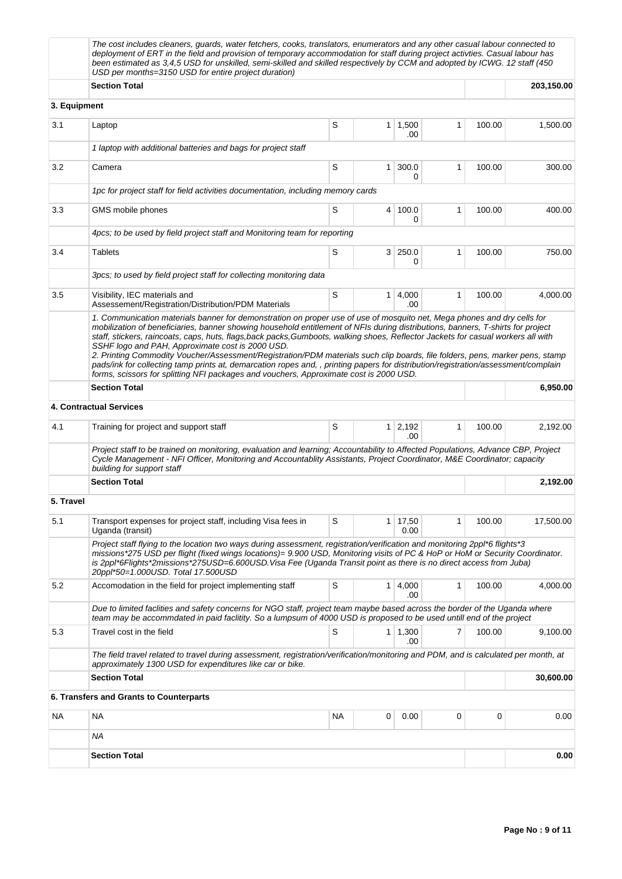|              | The cost includes cleaners, guards, water fetchers, cooks, translators, enumerators and any other casual labour connected to<br>deployment of ERT in the field and provision of temporary accommodation for staff during project activties. Casual labour has<br>been estimated as 3,4,5 USD for unskilled, semi-skilled and skilled respectively by CCM and adopted by ICWG. 12 staff (450<br>USD per months=3150 USD for entire project duration)                                                                                                                                                                                                                                     |    |                |                       |                |        |            |
|--------------|-----------------------------------------------------------------------------------------------------------------------------------------------------------------------------------------------------------------------------------------------------------------------------------------------------------------------------------------------------------------------------------------------------------------------------------------------------------------------------------------------------------------------------------------------------------------------------------------------------------------------------------------------------------------------------------------|----|----------------|-----------------------|----------------|--------|------------|
|              | <b>Section Total</b>                                                                                                                                                                                                                                                                                                                                                                                                                                                                                                                                                                                                                                                                    |    |                |                       |                |        | 203,150.00 |
| 3. Equipment |                                                                                                                                                                                                                                                                                                                                                                                                                                                                                                                                                                                                                                                                                         |    |                |                       |                |        |            |
| 3.1          | Laptop                                                                                                                                                                                                                                                                                                                                                                                                                                                                                                                                                                                                                                                                                  | S  | 1              | 1,500<br>.00          | 1              | 100.00 | 1,500.00   |
|              | 1 laptop with additional batteries and bags for project staff                                                                                                                                                                                                                                                                                                                                                                                                                                                                                                                                                                                                                           |    |                |                       |                |        |            |
| 3.2          | Camera                                                                                                                                                                                                                                                                                                                                                                                                                                                                                                                                                                                                                                                                                  | S  | 1              | 300.0<br>0            | $\mathbf{1}$   | 100.00 | 300.00     |
|              | 1pc for project staff for field activities documentation, including memory cards                                                                                                                                                                                                                                                                                                                                                                                                                                                                                                                                                                                                        |    |                |                       |                |        |            |
| 3.3          | GMS mobile phones                                                                                                                                                                                                                                                                                                                                                                                                                                                                                                                                                                                                                                                                       | S  | 4              | 100.0<br>0            | 1              | 100.00 | 400.00     |
|              | 4pcs; to be used by field project staff and Monitoring team for reporting                                                                                                                                                                                                                                                                                                                                                                                                                                                                                                                                                                                                               |    |                |                       |                |        |            |
| 3.4          | <b>Tablets</b>                                                                                                                                                                                                                                                                                                                                                                                                                                                                                                                                                                                                                                                                          | S  | 3 <sup>1</sup> | 250.0<br>0            | 1              | 100.00 | 750.00     |
|              | 3pcs; to used by field project staff for collecting monitoring data                                                                                                                                                                                                                                                                                                                                                                                                                                                                                                                                                                                                                     |    |                |                       |                |        |            |
| 3.5          | Visibility, IEC materials and<br>Assessement/Registration/Distribution/PDM Materials                                                                                                                                                                                                                                                                                                                                                                                                                                                                                                                                                                                                    | S  | 1 <sup>1</sup> | 4,000<br>.00          | $\mathbf{1}$   | 100.00 | 4,000.00   |
|              | mobilization of beneficiaries, banner showing household entitlement of NFIs during distributions, banners, T-shirts for project<br>staff, stickers, raincoats, caps, huts, flags,back packs, Gumboots, walking shoes, Reflector Jackets for casual workers all with<br>SSHF logo and PAH, Approximate cost is 2000 USD.<br>2. Printing Commodity Voucher/Assessment/Registration/PDM materials such clip boards, file folders, pens, marker pens, stamp<br>pads/ink for collecting tamp prints at, demarcation ropes and, , printing papers for distribution/registration/assessment/complain<br>forms, scissors for splitting NFI packages and vouchers, Approximate cost is 2000 USD. |    |                |                       |                |        |            |
|              | <b>Section Total</b>                                                                                                                                                                                                                                                                                                                                                                                                                                                                                                                                                                                                                                                                    |    |                |                       |                |        | 6,950.00   |
|              | 4. Contractual Services                                                                                                                                                                                                                                                                                                                                                                                                                                                                                                                                                                                                                                                                 |    |                |                       |                |        |            |
| 4.1          | Training for project and support staff                                                                                                                                                                                                                                                                                                                                                                                                                                                                                                                                                                                                                                                  | S  | 1              | 2,192<br>.00          | $\mathbf{1}$   | 100.00 | 2,192.00   |
|              | Project staff to be trained on monitoring, evaluation and learning; Accountability to Affected Populations, Advance CBP, Project<br>Cycle Management - NFI Officer, Monitoring and Accountablity Assistants, Project Coordinator, M&E Coordinator; capacity<br>building for support staff                                                                                                                                                                                                                                                                                                                                                                                               |    |                |                       |                |        |            |
|              | <b>Section Total</b>                                                                                                                                                                                                                                                                                                                                                                                                                                                                                                                                                                                                                                                                    |    |                |                       |                |        | 2,192.00   |
| 5. Travel    |                                                                                                                                                                                                                                                                                                                                                                                                                                                                                                                                                                                                                                                                                         |    |                |                       |                |        |            |
| 5.1          | Transport expenses for project staff, including Visa fees in<br>Uganda (transit)                                                                                                                                                                                                                                                                                                                                                                                                                                                                                                                                                                                                        | S  | 1              | 17,50<br>0.00         | 1              | 100.00 | 17,500.00  |
|              | Project staff flying to the location two ways during assessment, registration/verification and monitoring 2ppl*6 flights*3<br>missions*275 USD per flight (fixed wings locations)= 9.900 USD, Monitoring visits of PC & HoP or HoM or Security Coordinator.<br>is 2ppl*6Flights*2missions*275USD=6.600USD. Visa Fee (Uganda Transit point as there is no direct access from Juba)<br>20ppl*50=1.000USD. Total 17.500USD                                                                                                                                                                                                                                                                 |    |                |                       |                |        |            |
| 5.2          | Accomodation in the field for project implementing staff                                                                                                                                                                                                                                                                                                                                                                                                                                                                                                                                                                                                                                | S  |                | $1 \mid 4,000$<br>.00 | $\mathbf{1}$   | 100.00 | 4,000.00   |
|              | Due to limited faclities and safety concerns for NGO staff, project team maybe based across the border of the Uganda where<br>team may be accommdated in paid faclitity. So a lumpsum of 4000 USD is proposed to be used untill end of the project                                                                                                                                                                                                                                                                                                                                                                                                                                      |    |                |                       |                |        |            |
| 5.3          | Travel cost in the field                                                                                                                                                                                                                                                                                                                                                                                                                                                                                                                                                                                                                                                                | S  |                | 1   1,300<br>.00      | $\overline{7}$ | 100.00 | 9,100.00   |
|              | The field travel related to travel during assessment, registration/verification/monitoring and PDM, and is calculated per month, at<br>approximately 1300 USD for expenditures like car or bike.                                                                                                                                                                                                                                                                                                                                                                                                                                                                                        |    |                |                       |                |        |            |
|              | <b>Section Total</b>                                                                                                                                                                                                                                                                                                                                                                                                                                                                                                                                                                                                                                                                    |    |                |                       |                |        | 30,600.00  |
|              | 6. Transfers and Grants to Counterparts                                                                                                                                                                                                                                                                                                                                                                                                                                                                                                                                                                                                                                                 |    |                |                       |                |        |            |
| <b>NA</b>    | NA                                                                                                                                                                                                                                                                                                                                                                                                                                                                                                                                                                                                                                                                                      | ΝA | 0              | 0.00                  | 0              | 0      | 0.00       |
|              | ΝA                                                                                                                                                                                                                                                                                                                                                                                                                                                                                                                                                                                                                                                                                      |    |                |                       |                |        |            |
|              | <b>Section Total</b>                                                                                                                                                                                                                                                                                                                                                                                                                                                                                                                                                                                                                                                                    |    |                |                       |                |        | 0.00       |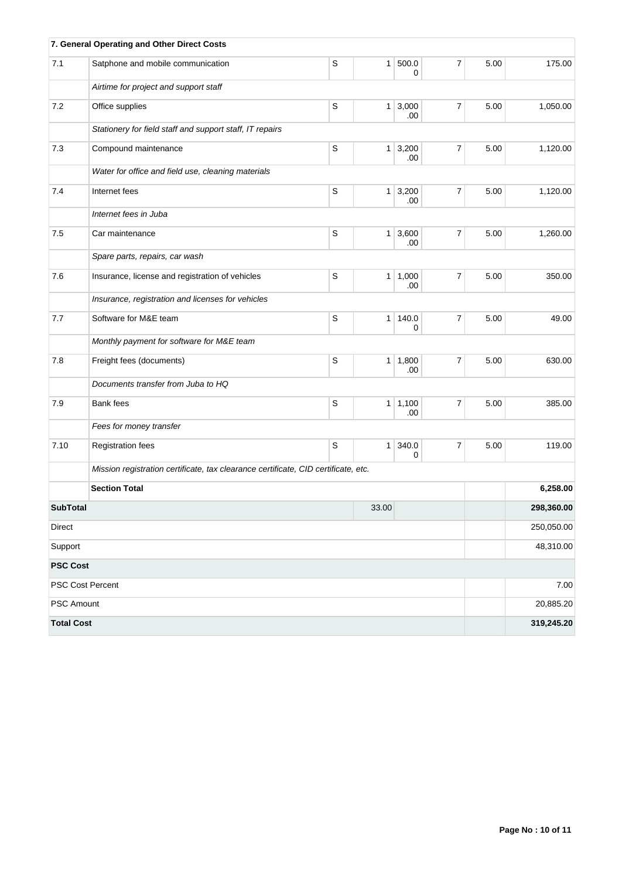|                   | 7. General Operating and Other Direct Costs                                        |             |                |                              |                |      |            |
|-------------------|------------------------------------------------------------------------------------|-------------|----------------|------------------------------|----------------|------|------------|
| 7.1               | Satphone and mobile communication                                                  | $\mathsf S$ | 1 <sup>1</sup> | 500.0<br>0                   | 7              | 5.00 | 175.00     |
|                   | Airtime for project and support staff                                              |             |                |                              |                |      |            |
| 7.2               | Office supplies                                                                    | S           |                | $1 \mid 3,000$<br>.00        | 7              | 5.00 | 1,050.00   |
|                   | Stationery for field staff and support staff, IT repairs                           |             |                |                              |                |      |            |
| 7.3               | Compound maintenance                                                               | $\mathbb S$ |                | $1 \vert 3,200$<br>.00       | 7              | 5.00 | 1,120.00   |
|                   | Water for office and field use, cleaning materials                                 |             |                |                              |                |      |            |
| 7.4               | Internet fees                                                                      | $\mathbb S$ |                | $1 \overline{)3,200}$<br>.00 | $\overline{7}$ | 5.00 | 1,120.00   |
|                   | Internet fees in Juba                                                              |             |                |                              |                |      |            |
| 7.5               | Car maintenance                                                                    | $\mathbb S$ |                | $1 \mid 3,600$<br>.00        | 7              | 5.00 | 1,260.00   |
|                   | Spare parts, repairs, car wash                                                     |             |                |                              |                |      |            |
| 7.6               | Insurance, license and registration of vehicles                                    | S           |                | 1 1,000<br>.00               | $\overline{7}$ | 5.00 | 350.00     |
|                   | Insurance, registration and licenses for vehicles                                  |             |                |                              |                |      |            |
| 7.7               | Software for M&E team                                                              | S           | 1 <sup>1</sup> | 140.0<br>0                   | 7              | 5.00 | 49.00      |
|                   | Monthly payment for software for M&E team                                          |             |                |                              |                |      |            |
| 7.8               | Freight fees (documents)                                                           | S           |                | $1 \mid 1,800$<br>.00        | $\overline{7}$ | 5.00 | 630.00     |
|                   | Documents transfer from Juba to HQ                                                 |             |                |                              |                |      |            |
| 7.9               | Bank fees                                                                          | S           | 1 <sup>1</sup> | 1,100<br>.00                 | 7              | 5.00 | 385.00     |
|                   | Fees for money transfer                                                            |             |                |                              |                |      |            |
| 7.10              | Registration fees                                                                  | $\mathbb S$ |                | $1 \,   \, 340.0$<br>0       | 7              | 5.00 | 119.00     |
|                   | Mission registration certificate, tax clearance certificate, CID certificate, etc. |             |                |                              |                |      |            |
|                   | <b>Section Total</b>                                                               |             |                |                              |                |      | 6,258.00   |
| <b>SubTotal</b>   |                                                                                    |             | 33.00          |                              |                |      | 298,360.00 |
| Direct            |                                                                                    |             |                |                              |                |      | 250,050.00 |
| Support           |                                                                                    |             |                |                              |                |      | 48,310.00  |
| <b>PSC Cost</b>   |                                                                                    |             |                |                              |                |      |            |
|                   | PSC Cost Percent                                                                   |             |                |                              |                |      | 7.00       |
| <b>PSC Amount</b> |                                                                                    |             |                |                              |                |      | 20,885.20  |
| <b>Total Cost</b> |                                                                                    |             |                |                              |                |      | 319,245.20 |